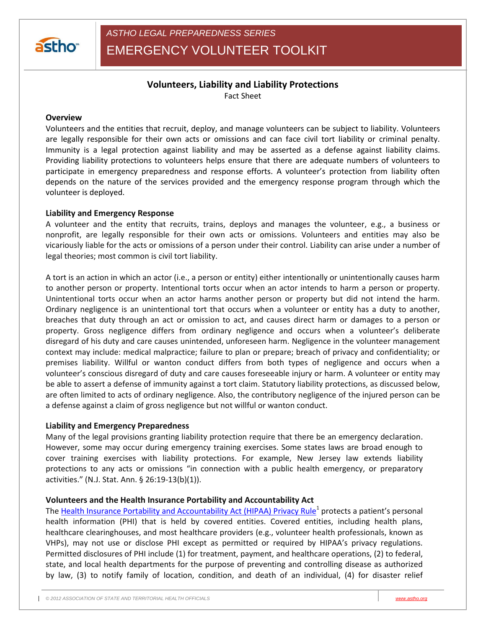

# **Volunteers, Liability and Liability Protections**

Fact Sheet

#### **Overview**

Volunteers and the entities that recruit, deploy, and manage volunteers can be subject to liability. Volunteers are legally responsible for their own acts or omissions and can face civil tort liability or criminal penalty. Immunity is a legal protection against liability and may be asserted as a defense against liability claims. Providing liability protections to volunteers helps ensure that there are adequate numbers of volunteers to participate in emergency preparedness and response efforts. A volunteer's protection from liability often depends on the nature of the services provided and the emergency response program through which the volunteer is deployed.

## **Liability and Emergency Response**

A volunteer and the entity that recruits, trains, deploys and manages the volunteer, e.g., a business or nonprofit, are legally responsible for their own acts or omissions. Volunteers and entities may also be vicariously liable for the acts or omissions of a person under their control. Liability can arise under a number of legal theories; most common is civil tort liability.

A tort is an action in which an actor (i.e., a person or entity) either intentionally or unintentionally causes harm to another person or property. Intentional torts occur when an actor intends to harm a person or property. Unintentional torts occur when an actor harms another person or property but did not intend the harm. Ordinary negligence is an unintentional tort that occurs when a volunteer or entity has a duty to another, breaches that duty through an act or omission to act, and causes direct harm or damages to a person or property. Gross negligence differs from ordinary negligence and occurs when a volunteer's deliberate disregard of his duty and care causes unintended, unforeseen harm. Negligence in the volunteer management context may include: medical malpractice; failure to plan or prepare; breach of privacy and confidentiality; or premises liability. Willful or wanton conduct differs from both types of negligence and occurs when a volunteer's conscious disregard of duty and care causes foreseeable injury or harm. A volunteer or entity may be able to assert a defense of immunity against a tort claim. Statutory liability protections, as discussed below, are often limited to acts of ordinary negligence. Also, the contributory negligence of the injured person can be a defense against a claim of gross negligence but not willful or wanton conduct.

#### **Liability and Emergency Preparedness**

Many of the legal provisions granting liability protection require that there be an emergency declaration. However, some may occur during emergency training exercises. Some states laws are broad enough to cover training exercises with liability protections. For example, New Jersey law extends liability protections to any acts or omissions "in connection with a public health emergency, or preparatory activities." (N.J. Stat. Ann. § 26:19-13(b)(1)).

#### **Volunteers and the Health Insurance Portability and Accountability Act**

The [Health Insurance Portability and Accountability Act \(HIPAA\) Privacy Rule](http://www.hhs.gov/ocr/privacy/hipaa/understanding/summary/index.html)<sup>1</sup> protects a patient's personal health information (PHI) that is held by covered entities. Covered entities, including health plans, healthcare clearinghouses, and most healthcare providers (e.g., volunteer health professionals, known as VHPs), may not use or disclose PHI except as permitted or required by HIPAA's privacy regulations. Permitted disclosures of PHI include (1) for treatment, payment, and healthcare operations, (2) to federal, state, and local health departments for the purpose of preventing and controlling disease as authorized by law, (3) to notify family of location, condition, and death of an individual, (4) for disaster relief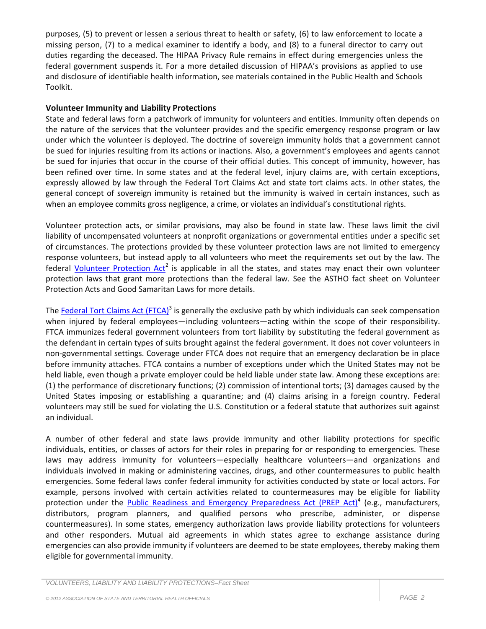purposes, (5) to prevent or lessen a serious threat to health or safety, (6) to law enforcement to locate a missing person, (7) to a medical examiner to identify a body, and (8) to a funeral director to carry out duties regarding the deceased. The HIPAA Privacy Rule remains in effect during emergencies unless the federal government suspends it. For a more detailed discussion of HIPAA's provisions as applied to use and disclosure of identifiable health information, see materials contained in the Public Health and Schools Toolkit.

### **Volunteer Immunity and Liability Protections**

State and federal laws form a patchwork of immunity for volunteers and entities. Immunity often depends on the nature of the services that the volunteer provides and the specific emergency response program or law under which the volunteer is deployed. The doctrine of sovereign immunity holds that a government cannot be sued for injuries resulting from its actions or inactions. Also, a government's employees and agents cannot be sued for injuries that occur in the course of their official duties. This concept of immunity, however, has been refined over time. In some states and at the federal level, injury claims are, with certain exceptions, expressly allowed by law through the Federal Tort Claims Act and state tort claims acts. In other states, the general concept of sovereign immunity is retained but the immunity is waived in certain instances, such as when an employee commits gross negligence, a crime, or violates an individual's constitutional rights.

Volunteer protection acts, or similar provisions, may also be found in state law. These laws limit the civil liability of uncompensated volunteers at nonprofit organizations or governmental entities under a specific set of circumstances. The protections provided by these volunteer protection laws are not limited to emergency response volunteers, but instead apply to all volunteers who meet the requirements set out by the law. The federal [Volunteer Protection Act](http://www.gpo.gov/fdsys/pkg/PLAW-105publ19/pdf/PLAW-105publ19.pdf)<sup>2</sup> is applicable in all the states, and states may enact their own volunteer protection laws that grant more protections than the federal law. See the ASTHO fact sheet on Volunteer Protection Acts and Good Samaritan Laws for more details.

The [Federal Tort Claims Act \(FTCA\)](http://biotech.law.lsu.edu/cases/immunity/ftca.htm)<sup>3</sup> is generally the exclusive path by which individuals can seek compensation when injured by federal employees—including volunteers—acting within the scope of their responsibility. FTCA immunizes federal government volunteers from tort liability by substituting the federal government as the defendant in certain types of suits brought against the federal government. It does not cover volunteers in non-governmental settings. Coverage under FTCA does not require that an emergency declaration be in place before immunity attaches. FTCA contains a number of exceptions under which the United States may not be held liable, even though a private employer could be held liable under state law. Among these exceptions are: (1) the performance of discretionary functions; (2) commission of intentional torts; (3) damages caused by the United States imposing or establishing a quarantine; and (4) claims arising in a foreign country. Federal volunteers may still be sued for violating the U.S. Constitution or a federal statute that authorizes suit against an individual.

A number of other federal and state laws provide immunity and other liability protections for specific individuals, entities, or classes of actors for their roles in preparing for or responding to emergencies. These laws may address immunity for volunteers—especially healthcare volunteers—and organizations and individuals involved in making or administering vaccines, drugs, and other countermeasures to public health emergencies. Some federal laws confer federal immunity for activities conducted by state or local actors. For example, persons involved with certain activities related to countermeasures may be eligible for liability protection under the **Public Readiness and Emergency Preparedness Act (PREP Act)**<sup>4</sup> (e.g., manufacturers, distributors, program planners, and qualified persons who prescribe, administer, or dispense countermeasures). In some states, emergency authorization laws provide liability protections for volunteers and other responders. Mutual aid agreements in which states agree to exchange assistance during emergencies can also provide immunity if volunteers are deemed to be state employees, thereby making them eligible for governmental immunity.